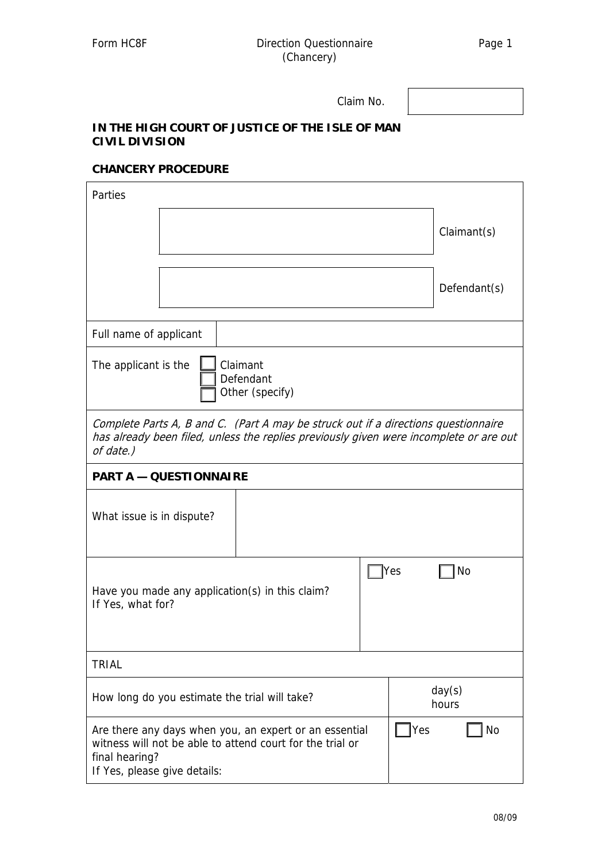Claim No.

## **IN THE HIGH COURT OF JUSTICE OF THE ISLE OF MAN CIVIL DIVISION**

## **CHANCERY PROCEDURE**

| Parties                                                                                                                                                                                   |  |  |  |                 |              |
|-------------------------------------------------------------------------------------------------------------------------------------------------------------------------------------------|--|--|--|-----------------|--------------|
|                                                                                                                                                                                           |  |  |  |                 | Claimant(s)  |
|                                                                                                                                                                                           |  |  |  |                 | Defendant(s) |
| Full name of applicant                                                                                                                                                                    |  |  |  |                 |              |
| Claimant<br>The applicant is the<br>Defendant<br>Other (specify)                                                                                                                          |  |  |  |                 |              |
| Complete Parts A, B and C. (Part A may be struck out if a directions questionnaire<br>has already been filed, unless the replies previously given were incomplete or are out<br>of date.) |  |  |  |                 |              |
| <b>PART A - QUESTIONNAIRE</b>                                                                                                                                                             |  |  |  |                 |              |
| What issue is in dispute?                                                                                                                                                                 |  |  |  |                 |              |
| Yes<br>No<br>Have you made any application(s) in this claim?<br>If Yes, what for?                                                                                                         |  |  |  |                 |              |
| <b>TRIAL</b>                                                                                                                                                                              |  |  |  |                 |              |
| How long do you estimate the trial will take?                                                                                                                                             |  |  |  | day(s)<br>hours |              |
| Yes<br>No<br>Are there any days when you, an expert or an essential<br>witness will not be able to attend court for the trial or<br>final hearing?<br>If Yes, please give details:        |  |  |  |                 |              |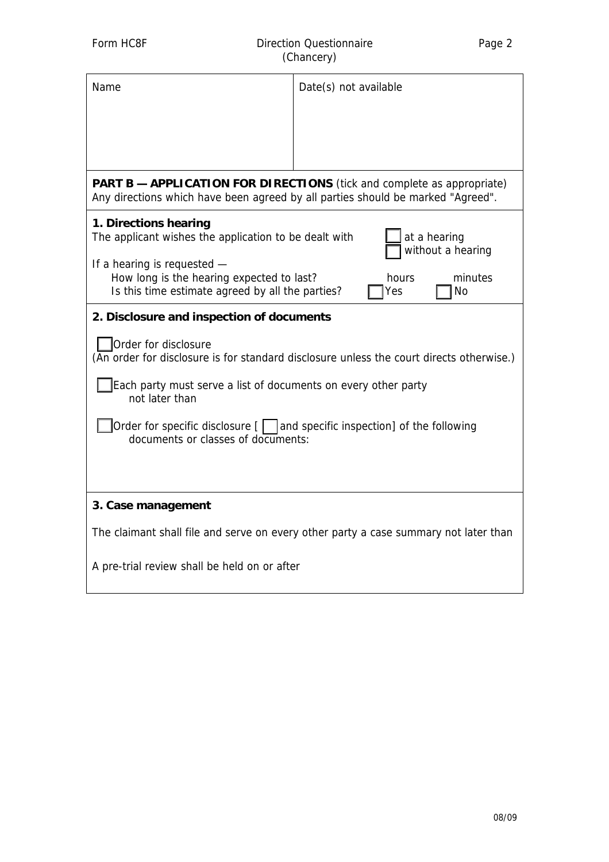| Name                                                                                                                                                             | Date(s) not available |  |  |  |  |
|------------------------------------------------------------------------------------------------------------------------------------------------------------------|-----------------------|--|--|--|--|
|                                                                                                                                                                  |                       |  |  |  |  |
| <b>PART B - APPLICATION FOR DIRECTIONS</b> (tick and complete as appropriate)<br>Any directions which have been agreed by all parties should be marked "Agreed". |                       |  |  |  |  |
| 1. Directions hearing<br>The applicant wishes the application to be dealt with<br>at a hearing<br>without a hearing                                              |                       |  |  |  |  |
| If a hearing is requested -<br>How long is the hearing expected to last?<br>minutes<br>hours<br>Is this time estimate agreed by all the parties?<br>No<br>Yes    |                       |  |  |  |  |
| 2. Disclosure and inspection of documents                                                                                                                        |                       |  |  |  |  |
| Order for disclosure<br>(An order for disclosure is for standard disclosure unless the court directs otherwise.)                                                 |                       |  |  |  |  |
| Each party must serve a list of documents on every other party<br>not later than                                                                                 |                       |  |  |  |  |
| Order for specific disclosure [     and specific inspection] of the following<br>documents or classes of documents:                                              |                       |  |  |  |  |
|                                                                                                                                                                  |                       |  |  |  |  |
| 3. Case management                                                                                                                                               |                       |  |  |  |  |
| The claimant shall file and serve on every other party a case summary not later than                                                                             |                       |  |  |  |  |
| A pre-trial review shall be held on or after                                                                                                                     |                       |  |  |  |  |